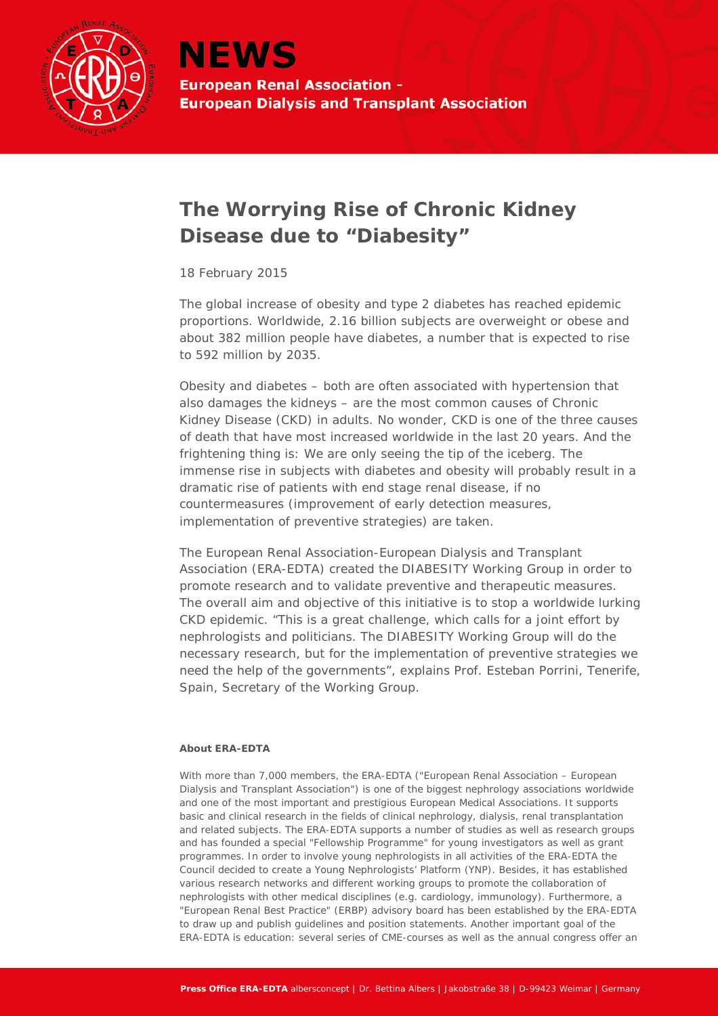

## **The Worrying Rise of Chronic Kidney Disease due to "Diabesity"**

*18 February 2015*

The global increase of obesity and type 2 diabetes has reached epidemic proportions. Worldwide, 2.16 billion subjects are overweight or obese and about 382 million people have diabetes, a number that is expected to rise to 592 million by 2035.

Obesity and diabetes – both are often associated with hypertension that also damages the kidneys – are the most common causes of Chronic Kidney Disease (CKD) in adults. No wonder, CKD is one of the three causes of death that have most increased worldwide in the last 20 years. And the frightening thing is: We are only seeing the tip of the iceberg. The immense rise in subjects with diabetes and obesity will probably result in a dramatic rise of patients with end stage renal disease, if no countermeasures (improvement of early detection measures, implementation of preventive strategies) are taken.

The European Renal Association-European Dialysis and Transplant Association (ERA-EDTA) created the DIABESITY Working Group in order to promote research and to validate preventive and therapeutic measures. The overall aim and objective of this initiative is to stop a worldwide lurking CKD epidemic. "This is a great challenge, which calls for a joint effort by nephrologists and politicians. The DIABESITY Working Group will do the necessary research, but for the implementation of preventive strategies we need the help of the governments", explains Prof. Esteban Porrini, Tenerife, Spain, Secretary of the Working Group.

## **About ERA-EDTA**

With more than 7,000 members, the ERA-EDTA ("European Renal Association – European Dialysis and Transplant Association") is one of the biggest nephrology associations worldwide and one of the most important and prestigious European Medical Associations. It supports basic and clinical research in the fields of clinical nephrology, dialysis, renal transplantation and related subjects. The ERA-EDTA supports a number of studies as well as research groups and has founded a special "Fellowship Programme" for young investigators as well as grant programmes. In order to involve young nephrologists in all activities of the ERA-EDTA the Council decided to create a Young Nephrologists' Platform (YNP). Besides, it has established various research networks and different working groups to promote the collaboration of nephrologists with other medical disciplines (e.g. cardiology, immunology). Furthermore, a "European Renal Best Practice" (ERBP) advisory board has been established by the ERA-EDTA to draw up and publish guidelines and position statements. Another important goal of the ERA-EDTA is education: several series of CME-courses as well as the annual congress offer an